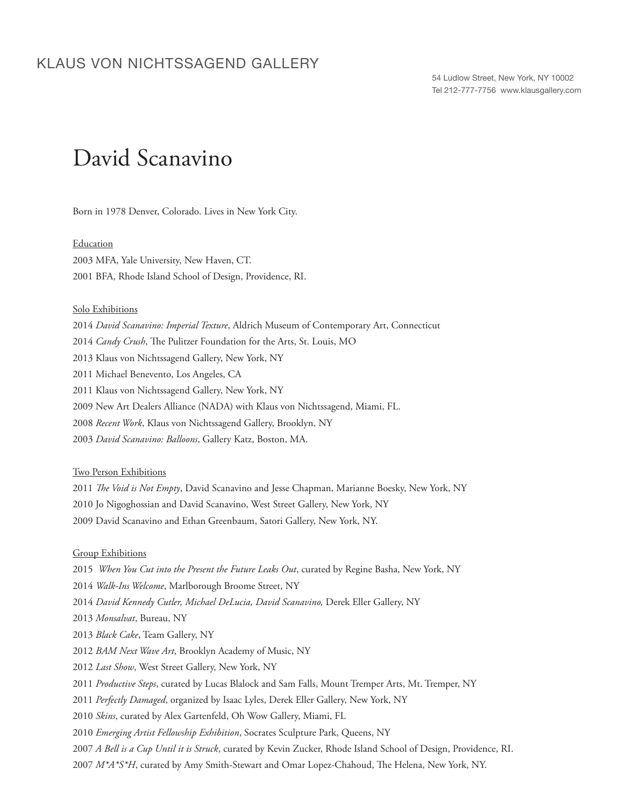## KLAUS VON NICHTSSAGEND GALLERY

54 Ludlow Street, New York, NY 10002 Tel 212-777-7756 www.klausgallery.com

# David Scanavino

Born in 1978 Denver, Colorado. Lives in New York City.

#### Education

2003 MFA, Yale University, New Haven, CT. 2001 BFA, Rhode Island School of Design, Providence, RI.

#### Solo Exhibitions

2014 *David Scanavino: Imperial Texture*, Aldrich Museum of Contemporary Art, Connecticut 2014 *Candy Crush*, The Pulitzer Foundation for the Arts, St. Louis, MO 2013 Klaus von Nichtssagend Gallery, New York, NY 2011 Michael Benevento, Los Angeles, CA 2011 Klaus von Nichtssagend Gallery, New York, NY 2009 New Art Dealers Alliance (NADA) with Klaus von Nichtssagend, Miami, FL. 2008 *Recent Work*, Klaus von Nichtssagend Gallery, Brooklyn, NY 2003 *David Scanavino: Balloons*, Gallery Katz, Boston, MA.

#### Two Person Exhibitions

2011 *The Void is Not Empty*, David Scanavino and Jesse Chapman, Marianne Boesky, New York, NY 2010 Jo Nigoghossian and David Scanavino, West Street Gallery, New York, NY 2009 David Scanavino and Ethan Greenbaum, Satori Gallery, New York, NY.

#### Group Exhibitions

*When You Cut into the Present the Future Leaks Out*, curated by Regine Basha, New York, NY *Walk-Ins Welcome*, Marlborough Broome Street, NY *David Kennedy Cutler, Michael DeLucia, David Scanavino,* Derek Eller Gallery, NY *Monsalvat*, Bureau, NY *Black Cake*, Team Gallery, NY *BAM Next Wave Art*, Brooklyn Academy of Music, NY *Last Show*, West Street Gallery, New York, NY *Productive Steps*, curated by Lucas Blalock and Sam Falls, Mount Tremper Arts, Mt. Tremper, NY *Perfectly Damaged*, organized by Isaac Lyles, Derek Eller Gallery, New York, NY *Skins*, curated by Alex Gartenfeld, Oh Wow Gallery, Miami, FL *Emerging Artist Fellowship Exhibition*, Socrates Sculpture Park, Queens, NY *A Bell is a Cup Until it is Struck*, curated by Kevin Zucker, Rhode Island School of Design, Providence, RI. *M\*A\*S\*H*, curated by Amy Smith-Stewart and Omar Lopez-Chahoud, The Helena, New York, NY.